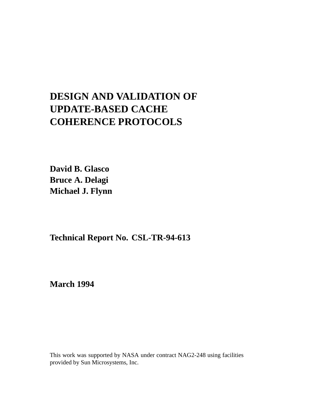# **DESIGN AND VALIDATION OF UPDATE-BASED CACHE COHERENCE PROTOCOLS**

**David B. Glasco Bruce A. Delagi Michael J. Flynn**

**Technical Report No. CSL-TR-94-613**

**March 1994**

This work was supported by NASA under contract NAG2-248 using facilities provided by Sun Microsystems, Inc.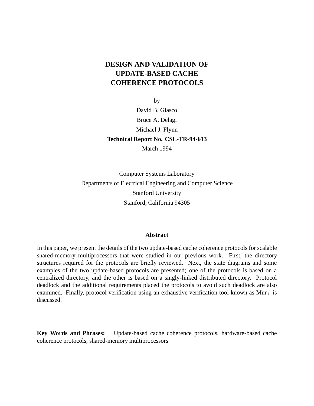## **DESIGN AND VALIDATION OF UPDATE-BASED CACHE COHERENCE PROTOCOLS**

by

David B. Glasco Bruce A. Delagi Michael J. Flynn **Technical Report No. CSL-TR-94-613** March 1994

Computer Systems Laboratory Departments of Electrical Engineering and Computer Science Stanford University Stanford, California 94305

#### **Abstract**

In this paper, we present the details of the two update-based cache coherence protocols for scalable shared-memory multiprocessors that were studied in our previous work. First, the directory structures required for the protocols are briefly reviewed. Next, the state diagrams and some examples of the two update-based protocols are presented; one of the protocols is based on a centralized directory, and the other is based on a singly-linked distributed directory. Protocol deadlock and the additional requirements placed the protocols to avoid such deadlock are also examined. Finally, protocol verification using an exhaustive verification tool known as Mur $\varphi$  is discussed.

**Key Words and Phrases:** Update-based cache coherence protocols, hardware-based cache coherence protocols, shared-memory multiprocessors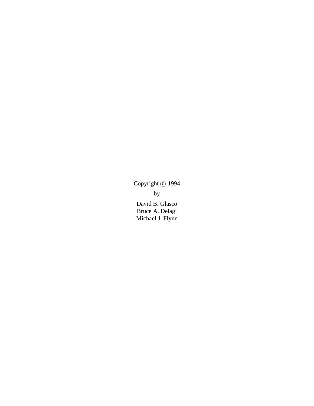Copyright  $\odot$  1994 by David B. Glasco Bruce A. Delagi Michael J. Flynn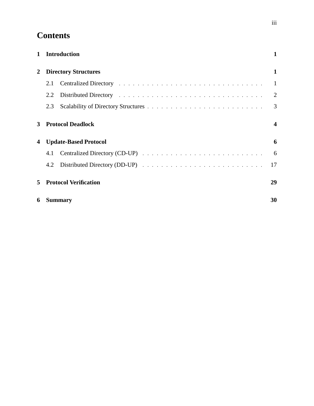## **Contents**

| $\mathbf{1}$ | <b>Introduction</b>          | $\mathbf{1}$            |
|--------------|------------------------------|-------------------------|
| $\mathbf{2}$ | <b>Directory Structures</b>  | 1                       |
|              | 2.1                          |                         |
|              | 2.2                          | 2                       |
|              | 2.3                          | 3                       |
| $3^{\circ}$  | <b>Protocol Deadlock</b>     | $\overline{\mathbf{4}}$ |
| 4            | <b>Update-Based Protocol</b> | 6                       |
|              | 4.1                          | 6                       |
|              | 4.2                          | 17                      |
| 5            | <b>Protocol Verification</b> | 29                      |
| 6            | <b>Summary</b>               | 30                      |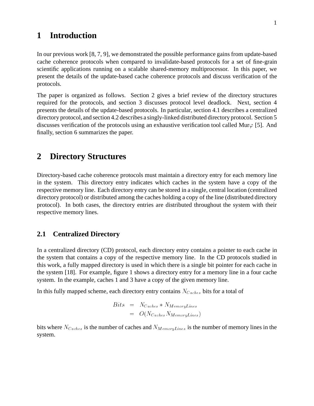## **1 Introduction**

In our previous work [8, 7, 9], we demonstrated the possible performance gains from update-based cache coherence protocols when compared to invalidate-based protocols for a set of fine-grain scientific applications running on a scalable shared-memory multiprocessor. In this paper, we present the details of the update-based cache coherence protocols and discuss verification of the protocols.

The paper is organized as follows. Section 2 gives a brief review of the directory structures required for the protocols, and section 3 discusses protocol level deadlock. Next, section 4 presents the details of the update-based protocols. In particular, section 4.1 describes a centralized directory protocol,and section 4.2 describes a singly-linked distributed directory protocol. Section 5 discusses verification of the protocols using an exhaustive verification tool called Mur $\varphi$  [5]. And finally, section 6 summarizes the paper.

## **2 Directory Structures**

Directory-based cache coherence protocols must maintain a directory entry for each memory line in the system. This directory entry indicates which caches in the system have a copy of the respective memory line. Each directory entry can be stored in a single, central location (centralized directory protocol) or distributed among the caches holding a copy of the line (distributed directory protocol). In both cases, the directory entries are distributed throughout the system with their respective memory lines.

### **2.1 Centralized Directory**

In a centralized directory (CD) protocol, each directory entry contains a pointer to each cache in the system that contains a copy of the respective memory line. In the CD protocols studied in this work, a fully mapped directory is used in which there is a single bit pointer for each cache in the system [18]. For example, figure 1 shows a directory entry for a memory line in a four cache system. In the example, caches 1 and 3 have a copy of the given memory line.

In this fully mapped scheme, each directory entry contains  $N_{Caches}$  bits for a total of

$$
Bits = N_{Caches} * N_{MemoryLines}
$$
  
=  $O(N_{Caches} N_{MemoryLines})$ 

bits where  $N_{Caches}$  is the number of caches and  $N_{MemoryLines}$  is the number of memory lines in the system.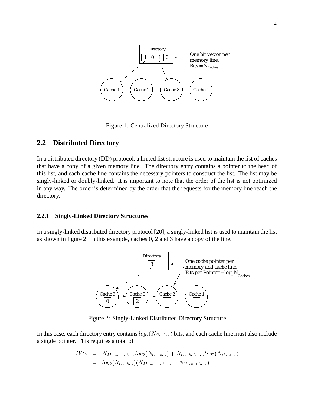

Figure 1: Centralized Directory Structure

### **2.2 Distributed Directory**

In a distributed directory (DD) protocol, a linked list structure is used to maintain the list of caches that have a copy of a given memory line. The directory entry contains a pointer to the head of this list, and each cache line contains the necessary pointers to construct the list. The list may be singly-linked or doubly-linked. It is important to note that the order of the list is not optimized in any way. The order is determined by the order that the requests for the memory line reach the directory.

#### **2.2.1 Singly-Linked Directory Structures**

In a singly-linked distributed directory protocol [20], a singly-linked list is used to maintain the list as shown in figure 2. In this example, caches 0, 2 and 3 have a copy of the line.



Figure 2: Singly-Linked Distributed Directory Structure

In this case, each directory entry contains  $log_2(N_{Caches})$  bits, and each cache line must also include a single pointer. This requires a total of

$$
Bits = N_{MemoryLines} log_2(N_{Caches}) + N_{CacheLines} log_2(N_{Caches})
$$
  
= log<sub>2</sub>(N<sub>Caches</sub>)(N<sub>MemoryLines</sub> + N<sub>CacheLines</sub>)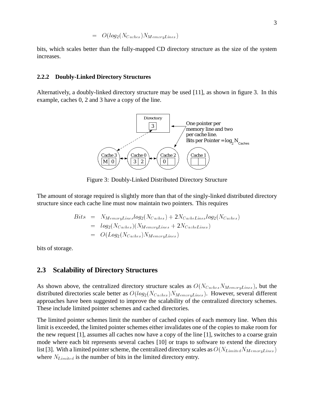$$
= \hspace{2.3cm} O(log_2(N_{Caches})N_{MemoryLines})
$$

bits, which scales better than the fully-mapped CD directory structure as the size of the system increases.

#### **2.2.2 Doubly-Linked Directory Structures**

Alternatively, a doubly-linked directory structure may be used [11], as shown in figure 3. In this example, caches 0, 2 and 3 have a copy of the line.



Figure 3: Doubly-Linked Distributed Directory Structure

The amount of storage required is slightly more than that of the singly-linked distributed directory structure since each cache line must now maintain two pointers. This requires

$$
Bits = N_{MemoryLines} log_2(N_{Caches}) + 2N_{CacheLines} log_2(N_{Caches})
$$
  
= log<sub>2</sub>( $N_{Caches}$ )( $N_{MemoryLines} + 2N_{CacheLines}$ )  
= O(Log<sub>2</sub>( $N_{Caches}$ ) $N_{MemoryLines}$ )

bits of storage.

### **2.3 Scalability of Directory Structures**

As shown above, the centralized directory structure scales as  $O(N_{\text{Caches}}N_{\text{MemoryLines}})$ , but the distributed directories scale better as  $O(log_2(N_{Caches})N_{MemoryLines})$ . However, several different approaches have been suggested to improve the scalability of the centralized directory schemes. These include limited pointer schemes and cached directories.

The limited pointer schemes limit the number of cached copies of each memory line. When this limit is exceeded, the limited pointer schemes either invalidates one of the copies to make room for the new request [1], assumes all caches now have a copy of the line [1], switches to a coarse grain mode where each bit represents several caches [10] or traps to software to extend the directory list [3]. With a limited pointer scheme, the centralized directory scales as  $O(N_{Limited}N_{MemoryLines})$ where  $N_{Limited}$  is the number of bits in the limited directory entry.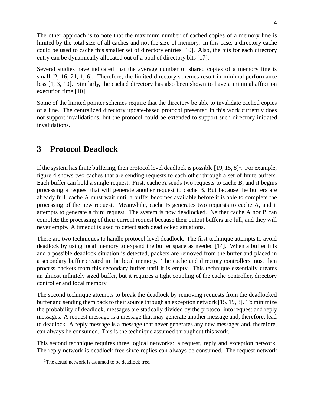The other approach is to note that the maximum number of cached copies of a memory line is limited by the total size of all caches and not the size of memory. In this case, a directory cache could be used to cache this smaller set of directory entries [10]. Also, the bits for each directory entry can be dynamically allocated out of a pool of directory bits [17].

Several studies have indicated that the average number of shared copies of a memory line is small  $[2, 16, 21, 1, 6]$ . Therefore, the limited directory schemes result in minimal performance loss [1, 3, 10]. Similarly, the cached directory has also been shown to have a minimal affect on execution time [10].

Some of the limited pointer schemes require that the directory be able to invalidate cached copies of a line. The centralized directory update-based protocol presented in this work currently does not support invalidations, but the protocol could be extended to support such directory initiated invalidations.

## **3 Protocol Deadlock**

If the system has finite buffering, then protocol level deadlock is possible  $[19, 15, 8]$ <sup>1</sup>. For example, figure 4 shows two caches that are sending requests to each other through a set of finite buffers. Each buffer can hold a single request. First, cache A sends two requests to cache B, and it begins processing a request that will generate another request to cache B. But because the buffers are already full, cache A must wait until a buffer becomes available before it is able to complete the processing of the new request. Meanwhile, cache B generates two requests to cache A, and it attempts to generate a third request. The system is now deadlocked. Neither cache A nor B can complete the processing of their current request because their output buffers are full, and they will never empty. A timeout is used to detect such deadlocked situations.

There are two techniques to handle protocol level deadlock. The first technique attempts to avoid deadlock by using local memory to expand the buffer space as needed [14]. When a buffer fills and a possible deadlock situation is detected, packets are removed from the buffer and placed in a secondary buffer created in the local memory. The cache and directory controllers must then process packets from this secondary buffer until it is empty. This technique essentially creates an almost infinitely sized buffer, but it requires a tight coupling of the cache controller, directory controller and local memory.

The second technique attempts to break the deadlock by removing requests from the deadlocked buffer and sending them back to their source through an exception network [15, 19, 8]. To minimize the probability of deadlock, messages are statically divided by the protocol into request and reply messages. A request message is a message that may generate another message and, therefore, lead to deadlock. A reply message is a message that never generates any new messages and, therefore, can always be consumed. This is the technique assumed throughout this work.

This second technique requires three logical networks: a request, reply and exception network. The reply network is deadlock free since replies can always be consumed. The request network

<sup>&</sup>lt;sup>1</sup>The actual network is assumed to be deadlock free.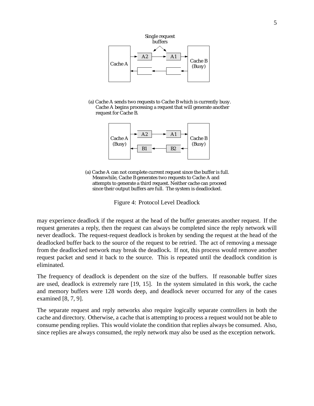

(a) Cache A sends two requests to Cache B which is currently busy. Cache A begins processing a request that will generate another request for Cache B.



(a) Cache A can not complete current request since the buffer is full. Meanwhile, Cache B generates two requests to Cache A and attempts to generate a third request. Neither cache can proceed since their output buffers are full. The system is deadlocked.

Figure 4: Protocol Level Deadlock

may experience deadlock if the request at the head of the buffer generates another request. If the request generates a reply, then the request can always be completed since the reply network will never deadlock. The request-request deadlock is broken by sending the request at the head of the deadlocked buffer back to the source of the request to be retried. The act of removing a message from the deadlocked network may break the deadlock. If not, this process would remove another request packet and send it back to the source. This is repeated until the deadlock condition is eliminated.

The frequency of deadlock is dependent on the size of the buffers. If reasonable buffer sizes are used, deadlock is extremely rare [19, 15]. In the system simulated in this work, the cache and memory buffers were 128 words deep, and deadlock never occurred for any of the cases examined [8, 7, 9].

The separate request and reply networks also require logically separate controllers in both the cache and directory. Otherwise, a cache that is attempting to process a request would not be able to consume pending replies. This would violate the condition that replies always be consumed. Also, since replies are always consumed, the reply network may also be used as the exception network.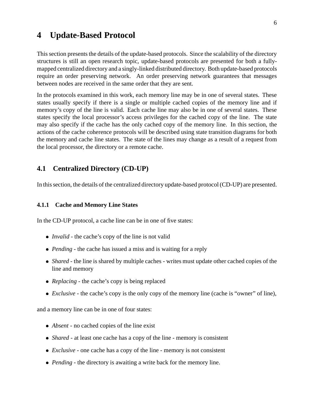### **4 Update-Based Protocol**

This section presents the details of the update-based protocols. Since the scalability of the directory structures is still an open research topic, update-based protocols are presented for both a fullymapped centralized directory and a singly-linked distributed directory. Both update-based protocols require an order preserving network. An order preserving network guarantees that messages between nodes are received in the same order that they are sent.

In the protocols examined in this work, each memory line may be in one of several states. These states usually specify if there is a single or multiple cached copies of the memory line and if memory's copy of the line is valid. Each cache line may also be in one of several states. These states specify the local processor's access privileges for the cached copy of the line. The state may also specify if the cache has the only cached copy of the memory line. In this section, the actions of the cache coherence protocols will be described using state transition diagrams for both the memory and cache line states. The state of the lines may change as a result of a request from the local processor, the directory or a remote cache.

### **4.1 Centralized Directory (CD-UP)**

In this section, the details of the centralized directory update-based protocol (CD-UP) are presented.

#### **4.1.1 Cache and Memory Line States**

In the CD-UP protocol, a cache line can be in one of five states:

- *Invalid* the cache's copy of the line is not valid
- *Pending* the cache has issued a miss and is waiting for a reply
- *Shared* the line is shared by multiple caches writes must update other cached copies of the line and memory
- *Replacing* the cache's copy is being replaced
- *Exclusive* the cache's copy is the only copy of the memory line (cache is "owner" of line),

and a memory line can be in one of four states:

- *Absent* no cached copies of the line exist
- *Shared* at least one cache has a copy of the line memory is consistent
- *Exclusive* one cache has a copy of the line memory is not consistent
- *Pending* the directory is awaiting a write back for the memory line.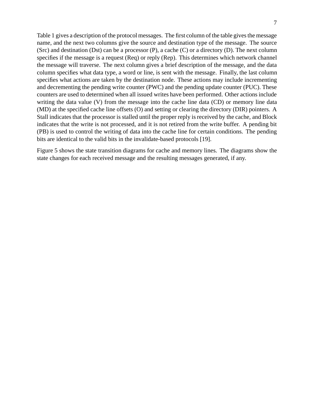Table 1 gives a description of the protocol messages. The first column of the table gives the message name, and the next two columns give the source and destination type of the message. The source (Src) and destination (Dst) can be a processor (P), a cache (C) or a directory (D). The next column specifies if the message is a request (Req) or reply (Rep). This determines which network channel the message will traverse. The next column gives a brief description of the message, and the data column specifies what data type, a word or line, is sent with the message. Finally, the last column specifies what actions are taken by the destination node. These actions may include incrementing and decrementing the pending write counter (PWC) and the pending update counter (PUC). These counters are used to determined when all issued writes have been performed. Other actions include writing the data value (V) from the message into the cache line data (CD) or memory line data (MD) at the specified cache line offsets (O) and setting or clearing the directory (DIR) pointers. A Stall indicates that the processor is stalled until the proper reply is received by the cache, and Block indicates that the write is not processed, and it is not retired from the write buffer. A pending bit (PB) is used to control the writing of data into the cache line for certain conditions. The pending bits are identical to the valid bits in the invalidate-based protocols [19].

Figure 5 shows the state transition diagrams for cache and memory lines. The diagrams show the state changes for each received message and the resulting messages generated, if any.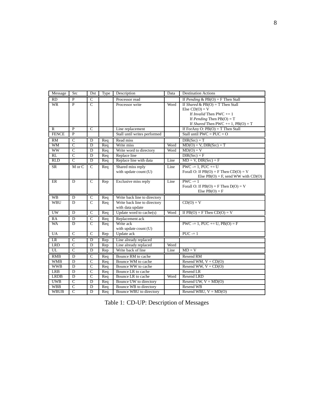| Message                                                  | Src                                                      | Dst                     | Type                    | Description                  | Data             | <b>Destination Actions</b>                   |  |
|----------------------------------------------------------|----------------------------------------------------------|-------------------------|-------------------------|------------------------------|------------------|----------------------------------------------|--|
| RD                                                       | $\overline{P}$                                           | $\overline{C}$          |                         | Processor read               |                  | If Pending & $PB(O) = F$ Then Stall          |  |
| <b>WR</b>                                                | $\overline{P}$                                           | $\overline{C}$          |                         | Processor write              | Word             | If <i>Shared</i> & $PB(O) = T$ Then Stall    |  |
|                                                          |                                                          |                         |                         |                              | Else $CD(O) = V$ |                                              |  |
|                                                          |                                                          |                         |                         |                              |                  | If <i>Invalid</i> Then PWC $+= 1$            |  |
|                                                          |                                                          |                         |                         |                              |                  | If <i>Pending</i> Then $PB(O) = T$           |  |
|                                                          |                                                          |                         |                         |                              |                  | If <i>Shared</i> Then PWC $+= 1$ , PB(O) = T |  |
| R                                                        | P                                                        | $\overline{C}$          |                         | Line replacement             |                  | If ForAny O: $PB(O) = T$ Then Stall          |  |
| <b>FENCE</b>                                             | $\overline{P}$                                           |                         |                         | Stall until writes performed |                  | Stall until $PWC = PUC = O$                  |  |
| RM                                                       | $\overline{C}$                                           | D                       | Req                     | Read miss                    |                  | $DIR(Src) = T$                               |  |
| <b>WM</b>                                                | $\overline{c}$                                           | $\overline{D}$          | Req                     | Write miss                   | Word             | $MD(O) = V$ , $DIR(Src) = T$                 |  |
| <b>WW</b>                                                | $\overline{C}$                                           | D                       | Req                     | Write word to directory      | Word             | $MD(O) = V$                                  |  |
| $\overline{RL}$                                          | $\overline{C}$                                           | D                       | Req                     | Replace line                 |                  | $DIR(Src) = F$                               |  |
| <b>RLD</b>                                               | $\overline{C}$                                           | D                       | Req                     | Replace line with data       | Line             | $MD = V$ , $DIR(Src) = F$                    |  |
| SR                                                       | $M$ or $C$<br>$\overline{C}$<br>Shared miss reply<br>Req |                         | Line                    | $PWC = 1$ , $PUC += U$       |                  |                                              |  |
|                                                          |                                                          |                         |                         | with update count (U)        |                  | Forall O: If $PB(O) = F$ Then $CD(O) = V$    |  |
|                                                          |                                                          |                         |                         |                              |                  | Else $PB(O) = F$ , send WW with $CD(O)$      |  |
| $\overline{C}$<br>ER<br>D<br>Rep<br>Exclusive miss reply |                                                          | Line                    | $PWC = 1$               |                              |                  |                                              |  |
|                                                          |                                                          |                         |                         |                              |                  | Forall O: If $PB(O) = F$ Then $D(O) = V$     |  |
|                                                          |                                                          |                         |                         | Else $PB(O) = F$             |                  |                                              |  |
|                                                          |                                                          |                         |                         |                              |                  |                                              |  |
| <b>WB</b>                                                | $\overline{D}$                                           | $\overline{C}$          | Req                     | Write back line to directory |                  |                                              |  |
| WBU                                                      | D                                                        | $\overline{C}$          | $\overline{Req}$        | Write back line to directory |                  | $CD(O) = V$                                  |  |
|                                                          |                                                          |                         |                         | with data update             |                  |                                              |  |
| $\overline{\text{UW}}$                                   | $\overline{D}$                                           | $\overline{C}$          | Req                     | Update word to cache(s)      | Word             | If $PB(O) = F$ Then $CD(O) = V$              |  |
| RA                                                       | $\overline{D}$                                           | $\overline{C}$          | Req                     | Replacement ack              |                  |                                              |  |
| WA                                                       | D                                                        | $\overline{C}$          | Req                     | Write ack                    |                  | $PWC = 1$ , $PUC == U$ , $PB(O) = F$         |  |
|                                                          |                                                          |                         |                         | with update count (U)        |                  |                                              |  |
| <b>UA</b>                                                | $\overline{c}$                                           | $\overline{C}$          | Rep                     | Update ack                   |                  | $PUC = 1$                                    |  |
| LR                                                       | $\overline{c}$                                           | $\overline{D}$          | $\overline{\text{Rep}}$ | Line already replaced        |                  |                                              |  |
| <b>LRD</b>                                               | $\overline{C}$                                           | $\overline{\mathrm{D}}$ | Rep                     | Line already replaced        | Word             |                                              |  |
| UL                                                       | $\overline{c}$                                           | $\overline{D}$          | Rep                     | Write back of line           | Line             | $MD = V$                                     |  |
| <b>RMB</b>                                               | D                                                        | $\mathcal{C}$           | Req                     | Bounce RM to cache           |                  | Resend RM                                    |  |
| <b>WMB</b>                                               | $\overline{D}$                                           | $\overline{C}$          | Req                     | Bounce WM to cache           |                  | Resend WM, $V = CD(O)$                       |  |
| <b>WWB</b>                                               | $\overline{D}$                                           | $\overline{C}$          | Req                     | Bounce WW to cache           |                  | Resend WW, $V = CD(O)$                       |  |
| <b>LRB</b>                                               | D                                                        | $\mathsf{C}$            | Req                     | Bounce LR to cache           |                  | Resend LR                                    |  |
| <b>LRDB</b>                                              | D                                                        | $\overline{C}$          | Req                     | Bounce LR to cache           | Word             | Resend LRD                                   |  |
| <b>UWB</b>                                               | $\overline{C}$                                           | $\overline{D}$          | Req                     | Bounce UW to directory       |                  | Resend UW, $V = MD(O)$                       |  |
| <b>WBB</b>                                               | $\overline{C}$<br>$\overline{C}$                         | $\overline{\text{D}}$   | Req                     | Bounce WB to directory       |                  | Resend WB                                    |  |

| Table 1: CD-UP: Description of Messages |  |
|-----------------------------------------|--|
|-----------------------------------------|--|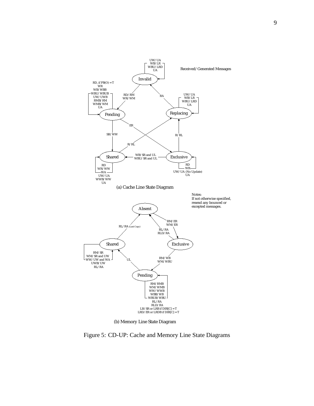

(b) Memory Line State Diagram

Figure 5: CD-UP: Cache and Memory Line State Diagrams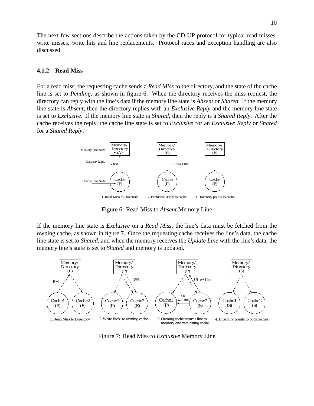The next few sections describe the actions taken by the CD-UP protocol for typical read misses, write misses, write hits and line replacements. Protocol races and exception handling are also discussed.

#### **4.1.2 Read Miss**

For a read miss, the requesting cache sends a *Read Miss* to the directory, and the state of the cache line is set to *Pending*, as shown in figure 6. When the directory receives the miss request, the directory can reply with the line's data if the memory line state is *Absent* or *Shared*. If the memory line state is *Absent*, then the directory replies with an *Exclusive Reply* and the memory line state is set to *Exclusive*. If the memory line state is *Shared*, then the reply is a *Shared Reply*. After the cache receives the reply, the cache line state is set to *Exclusive* for an *Exclusive Reply* or *Shared* for a *Shared Reply*.



Figure 6: Read Miss to *Absent* Memory Line

If the memory line state is *Exclusive* on a *Read Miss*, the line's data must be fetched from the owning cache, as shown in figure 7. Once the requesting cache receives the line's data, the cache line state is set to *Shared*, and when the memory receives the *Update Line* with the line's data, the memory line's state is set to *Shared* and memory is updated.



Figure 7: Read Miss to *Exclusive* Memory Line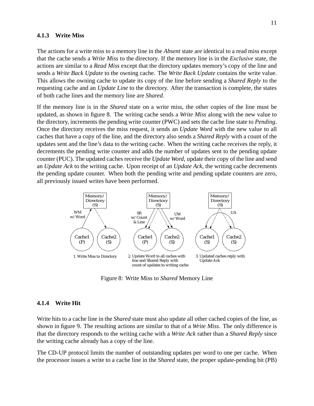#### **4.1.3 Write Miss**

The actions for a write miss to a memory line in the *Absent* state are identical to a read miss except that the cache sends a *Write Miss* to the directory. If the memory line is in the *Exclusive* state, the actions are similar to a *Read Miss* except that the directory updates memory's copy of the line and sends a *Write Back Update* to the owning cache. The *Write Back Update* contains the write value. This allows the owning cache to update its copy of the line before sending a *Shared Reply* to the requesting cache and an *Update Line* to the directory. After the transaction is complete, the states of both cache lines and the memory line are *Shared*.

If the memory line is in the *Shared* state on a write miss, the other copies of the line must be updated, as shown in figure 8. The writing cache sends a *Write Miss* along with the new value to the directory, increments the pending write counter (PWC) and sets the cache line state to *Pending*. Once the directory receives the miss request, it sends an *Update Word* with the new value to all caches that have a copy of the line, and the directory also sends a *Shared Reply* with a count of the updates sent and the line's data to the writing cache. When the writing cache receives the reply, it decrements the pending write counter and adds the number of updates sent to the pending update counter (PUC). The updated caches receive the *Update Word*, update their copy of the line and send an *Update Ack* to the writing cache. Upon receipt of an *Update Ack*, the writing cache decrements the pending update counter. When both the pending write and pending update counters are zero, all previously issued writes have been performed.



Figure 8: Write Miss to *Shared* Memory Line

#### **4.1.4 Write Hit**

Write hits to a cache line in the *Shared* state must also update all other cached copies of the line, as shown in figure 9. The resulting actions are similar to that of a *Write Miss*. The only difference is that the directory responds to the writing cache with a *Write Ack* rather than a *Shared Reply* since the writing cache already has a copy of the line.

The CD-UP protocol limits the number of outstanding updates per word to one per cache. When the processor issues a write to a cache line in the *Shared* state, the proper update-pending bit (PB)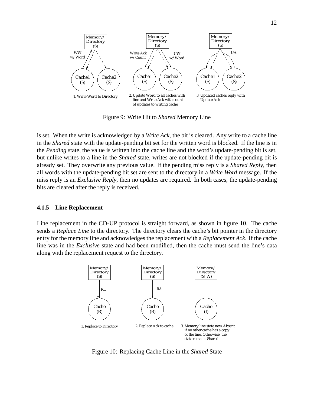

Figure 9: Write Hit to *Shared* Memory Line

is set. When the write is acknowledged by a *Write Ack*, the bit is cleared. Any write to a cache line in the *Shared* state with the update-pending bit set for the written word is blocked. If the line is in the *Pending* state, the value is written into the cache line and the word's update-pending bit is set, but unlike writes to a line in the *Shared* state, writes are not blocked if the update-pending bit is already set. They overwrite any previous value. If the pending miss reply is a *Shared Reply*, then all words with the update-pending bit set are sent to the directory in a *Write Word* message. If the miss reply is an *Exclusive Reply*, then no updates are required. In both cases, the update-pending bits are cleared after the reply is received.

#### **4.1.5 Line Replacement**

Line replacement in the CD-UP protocol is straight forward, as shown in figure 10. The cache sends a *Replace Line* to the directory. The directory clears the cache's bit pointer in the directory entry for the memory line and acknowledges the replacement with a *Replacement Ack*. If the cache line was in the *Exclusive* state and had been modified, then the cache must send the line's data along with the replacement request to the directory.



Figure 10: Replacing Cache Line in the *Shared* State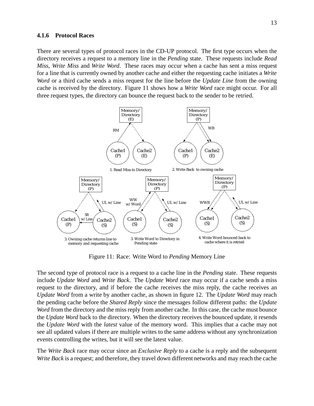#### **4.1.6 Protocol Races**

There are several types of protocol races in the CD-UP protocol. The first type occurs when the directory receives a request to a memory line in the *Pending* state. These requests include *Read Miss*, *Write Miss* and *Write Word*. These races may occur when a cache has sent a miss request for a line that is currently owned by another cache and either the requesting cache initiates a *Write Word* or a third cache sends a miss request for the line before the *Update Line* from the owning cache is received by the directory. Figure 11 shows how a *Write Word* race might occur. For all three request types, the directory can bounce the request back to the sender to be retried.



Figure 11: Race: Write Word to *Pending* Memory Line

The second type of protocol race is a request to a cache line in the *Pending* state. These requests include *Update Word* and *Write Back*. The *Update Word* race may occur if a cache sends a miss request to the directory, and if before the cache receives the miss reply, the cache receives an *Update Word* from a write by another cache, as shown in figure 12. The *Update Word* may reach the pending cache before the *Shared Reply* since the messages follow different paths: the *Update Word* from the directory and the miss reply from another cache. In this case, the cache must bounce the *Update Word* back to the directory. When the directory receives the bounced update, it resends the *Update Word* with the *latest* value of the memory word. This implies that a cache may not see all updated values if there are multiple writes to the same address without any synchronization events controlling the writes, but it will see the latest value.

The *Write Back* race may occur since an *Exclusive Reply* to a cache is a reply and the subsequent *Write Back* is a request; and therefore, they travel down different networks and may reach the cache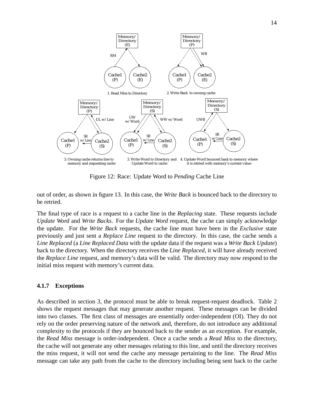

Figure 12: Race: Update Word to *Pending* Cache Line

out of order, as shown in figure 13. In this case, the *Write Back* is bounced back to the directory to be retried.

The final type of race is a request to a cache line in the *Replacing* state. These requests include *Update Word* and *Write Backs*. For the *Update Word* request, the cache can simply acknowledge the update. For the *Write Back* requests, the cache line must have been in the *Exclusive* state previously and just sent a *Replace Line* request to the directory. In this case, the cache sends a *Line Replaced* (a *Line Replaced Data* with the update data if the request was a *Write Back Update*) back to the directory. When the directory receives the *Line Replaced*, it will have already received the *Replace Line* request, and memory's data will be valid. The directory may now respond to the initial miss request with memory's current data.

#### **4.1.7 Exceptions**

As described in section 3, the protocol must be able to break request-request deadlock. Table 2 shows the request messages that may generate another request. These messages can be divided into two classes. The first class of messages are essentially order-independent (OI). They do not rely on the order preserving nature of the network and, therefore, do not introduce any additional complexity to the protocols if they are bounced back to the sender as an exception. For example, the *Read Miss* message is order-independent. Once a cache sends a *Read Miss* to the directory, the cache will not generate any other messages relating to this line, and until the directory receives the miss request, it will not send the cache any message pertaining to the line. The *Read Miss* message can take any path from the cache to the directory including being sent back to the cache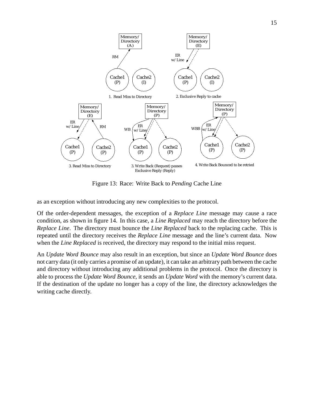

Figure 13: Race: Write Back to *Pending* Cache Line

as an exception without introducing any new complexities to the protocol.

Of the order-dependent messages, the exception of a *Replace Line* message may cause a race condition, as shown in figure 14. In this case, a *Line Replaced* may reach the directory before the *Replace Line*. The directory must bounce the *Line Replaced* back to the replacing cache. This is repeated until the directory receives the *Replace Line* message and the line's current data. Now when the *Line Replaced* is received, the directory may respond to the initial miss request.

An *Update Word Bounce* may also result in an exception, but since an *Update Word Bounce* does not carry data (it only carries a promise of an update), it can take an arbitrary path between the cache and directory without introducing any additional problems in the protocol. Once the directory is able to process the *Update Word Bounce*, it sends an *Update Word* with the memory's current data. If the destination of the update no longer has a copy of the line, the directory acknowledges the writing cache directly.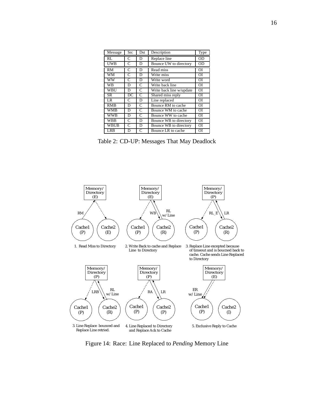| Message     | <b>Src</b>   | Dst          | Description              | Type           |
|-------------|--------------|--------------|--------------------------|----------------|
| RL          | C            | D            | Replace line             | 0 <sub>D</sub> |
| <b>UWB</b>  | C            | D            | Bounce UW to directory   | <b>OD</b>      |
| RM          | C            | D            | Read miss                | OI             |
| WM          | $\mathsf{C}$ | D            | Write miss               | ΟI             |
| <b>WW</b>   | C            | D            | Write word               | ΟI             |
| WB          | D            | C            | Write back line          | <b>OI</b>      |
| <b>WBU</b>  | D            | C            | Write back line w/update | $\overline{O}$ |
| SR.         | DC           | C            | Shared miss reply        | <b>OI</b>      |
| LR          | C            | D            | Line replaced            | ΟI             |
| <b>RMB</b>  | D            | C            | Bounce RM to cache       | ОI             |
| WMB         | D            | C            | Bounce WM to cache       | <b>OI</b>      |
| <b>WWB</b>  | D            | C            | Bounce WW to cache       | $\overline{O}$ |
| <b>WBB</b>  | C            | D            | Bounce WB to directory   | <b>OI</b>      |
| <b>WBUB</b> | C            | D            | Bounce WB to directory   | ОI             |
| LRB         | D            | $\mathsf{C}$ | Bounce LR to cache       | OI             |

Table 2: CD-UP: Messages That May Deadlock



Figure 14: Race: Line Replaced to *Pending* Memory Line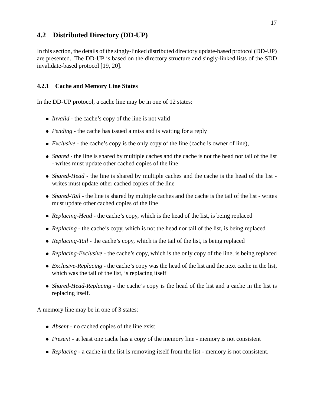### **4.2 Distributed Directory (DD-UP)**

In this section, the details of the singly-linked distributed directory update-based protocol (DD-UP) are presented. The DD-UP is based on the directory structure and singly-linked lists of the SDD invalidate-based protocol [19, 20].

### **4.2.1 Cache and Memory Line States**

In the DD-UP protocol, a cache line may be in one of 12 states:

- *Invalid* the cache's copy of the line is not valid
- *Pending* the cache has issued a miss and is waiting for a reply
- *Exclusive* the cache's copy is the only copy of the line (cache is owner of line),
- *Shared* the line is shared by multiple caches and the cache is not the head nor tail of the list - writes must update other cached copies of the line
- *Shared-Head* the line is shared by multiple caches and the cache is the head of the list writes must update other cached copies of the line
- *Shared-Tail* the line is shared by multiple caches and the cache is the tail of the list writes must update other cached copies of the line
- *Replacing-Head* the cache's copy, which is the head of the list, is being replaced
- *Replacing* the cache's copy, which is not the head nor tail of the list, is being replaced
- *Replacing-Tail* the cache's copy, which is the tail of the list, is being replaced
- *Replacing-Exclusive* the cache's copy, which is the only copy of the line, is being replaced
- *Exclusive-Replacing* the cache's copy was the head of the list and the next cache in the list, which was the tail of the list, is replacing itself
- *Shared-Head-Replacing* the cache's copy is the head of the list and a cache in the list is replacing itself.

A memory line may be in one of 3 states:

- *Absent* no cached copies of the line exist
- *Present* at least one cache has a copy of the memory line memory is not consistent
- *Replacing* a cache in the list is removing itself from the list memory is not consistent.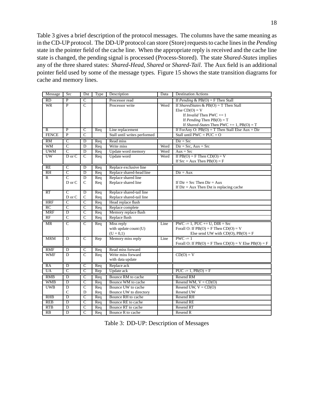Table 3 gives a brief description of the protocol messages. The columns have the same meaning as in the CD-UP protocol. The DD-UP protocol can store (Store) requests to cache lines in the *Pending* state in the pointer field of the cache line. When the appropriate reply is received and the cache line state is changed, the pending signal is processed (Process-Stored). The state *Shared-States* implies any of the three shared states: *Shared-Head*, *Shared* or *Shared-Tail*. The Aux field is an additional pointer field used by some of the message types. Figure 15 shows the state transition diagrams for cache and memory lines.

| Message         | Src                     | Dst                     | Type | Description                  | Data | <b>Destination Actions</b>                                 |
|-----------------|-------------------------|-------------------------|------|------------------------------|------|------------------------------------------------------------|
| $\overline{RD}$ | $\overline{P}$          | $\overline{C}$          |      | Processor read               |      | If Pending & $PB(O) = F$ Then Stall                        |
| <b>WR</b>       | $\overline{P}$          | $\overline{C}$          |      | Processor write              | Word | If SharedStates & $PB(O) = T$ Then Stall                   |
|                 |                         |                         |      |                              |      | Else $CD(O) = V$                                           |
|                 |                         |                         |      |                              |      | If <i>Invalid</i> Then PWC $+= 1$                          |
|                 |                         |                         |      |                              |      | If <i>Pending</i> Then $PB(O) = T$                         |
|                 |                         |                         |      |                              |      | If Shared-States Then PWC $+= 1, PB(O) = T$                |
| $\overline{R}$  | $\overline{\mathbf{P}}$ | $\overline{\rm c}$      | Req  | Line replacement             |      | If ForAny O: $PB(O) = T$ Then Stall Else Aux = Dir         |
| <b>FENCE</b>    | $\mathbf{P}$            | $\mathsf{C}$            |      | Stall until writes performed |      | Stall until PWC = $PUC = O$                                |
| <b>RM</b>       | $\overline{C}$          | D                       | Req  | Read miss                    |      | $Dir = Src$                                                |
| <b>WM</b>       | $\overline{C}$          | D                       | Req  | Write miss                   | Word | $Dir = Src$ , $Aux = Src$                                  |
| <b>UWM</b>      | $\overline{C}$          | $\overline{D}$          | Req  | Update word memory           | Word | $Aux = Src$                                                |
| UW              | $D$ or $C$              | $\mathcal{C}$           | Req  | Update word                  | Word | If $PB(O) = F$ Then $CD(O) = V$                            |
|                 |                         |                         |      |                              |      | If $Src = Aux Then PB(O) = F$                              |
| <b>RE</b>       | $\overline{C}$          | D                       | Req  | Replace exclusive line       |      |                                                            |
| R <sub>H</sub>  | $\overline{\rm c}$      | $\overline{\mathrm{D}}$ | Req  | Replace shared-head line     |      | $Dir = Aux$                                                |
| $\overline{R}$  | $\overline{C}$          | $\overline{D}$          | Req  | Replace shared line          |      |                                                            |
|                 | D or C                  | $\mathsf{C}$            | Req  | Replace shared line          |      | If $Dir = Src$ Then $Dir = Aux$                            |
|                 |                         |                         |      |                              |      | If $Dir = Aux$ Then Dst is replacing cache                 |
| RT              | $\overline{C}$          | D                       | Req  | Replace shared-tail line     |      |                                                            |
|                 | D or C                  | $\mathbf C$             | Req  | Replace shared-tail line     |      |                                                            |
| <b>HRF</b>      | $\overline{C}$          | $\overline{C}$          | Req  | Head replace flush           |      |                                                            |
| RC              | $\overline{C}$          | $\overline{C}$          | Req  | Replace complete             |      |                                                            |
| <b>MRF</b>      | D                       | $\overline{c}$          | Req  | Memory replace flush         |      |                                                            |
| RF              | $\overline{c}$          | $\mathsf{C}$            | Req  | Replace flush                |      |                                                            |
| <b>MR</b>       | $\overline{C}$          | $\overline{C}$          | Req  | Miss reply                   | Line | $PWC = 1$ , $PUC += U$ , $DIR = Src$                       |
|                 |                         |                         |      | with update count (U)        |      | Forall O: If $PB(O) = F$ Then $CD(O) = V$                  |
|                 |                         |                         |      | $(U = 0,1)$                  |      | Else send UW with $CD(O)$ , $PB(O) = F$                    |
| <b>MRM</b>      | $\overline{D}$          | $\overline{C}$          | Rep  | Memory miss reply            | Line | $PWC = 1$                                                  |
|                 |                         |                         |      |                              |      | Forall O: If $PB(O) = F$ Then $CD(O) = V$ Else $PB(O) = F$ |
| <b>RMF</b>      | D                       | $\overline{C}$          | Req  | Read miss forward            |      |                                                            |
| <b>WMF</b>      | D                       | $\overline{C}$          | Req  | Write miss forward           |      | $CD(O) = V$                                                |
|                 |                         |                         |      | with data update             |      |                                                            |
| RA              | $\overline{D}$          | $\overline{c}$          | Req  | Replace ack                  |      |                                                            |
| <b>UA</b>       | $\overline{C}$          | $\overline{c}$          | Rep  | Update ack                   |      | $PUC = 1, PB(O) = F$                                       |
| RMB             | $\overline{\text{D}}$   | $\overline{C}$          | Req  | Bounce RM to cache           |      | Resend RM                                                  |
| <b>WMB</b>      | D                       | $\overline{C}$          | Req  | Bounce WM to cache           |      | Resend WM, $V = CD(O)$                                     |
| <b>UWB</b>      | D                       | $\overline{C}$          | Req  | Bounce UW to cache           |      | Resend UW, $V = CD(O)$                                     |
|                 | $\mathsf{C}$            | D                       | Req  | Bounce UW to directory       |      | Resend UW                                                  |
| <b>RHB</b>      | $\overline{D}$          | $\overline{C}$          | Req  | Bounce RH to cache           |      | <b>Resend RH</b>                                           |
| <b>REB</b>      | $\overline{D}$          | $\overline{C}$          | Req  | Bounce RE to cache           |      | Resend RE                                                  |
| RTB             | $\overline{D}$          | $\overline{C}$          | Req  | Bounce RT to cache           |      | Resend RT                                                  |
| RB              | $\overline{D}$          | $\overline{C}$          | Req  | Bounce R to cache            |      | Resend R                                                   |

Table 3: DD-UP: Description of Messages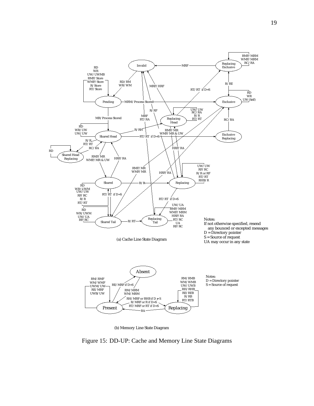

(b) Memory Line State Diagram

Figure 15: DD-UP: Cache and Memory Line State Diagrams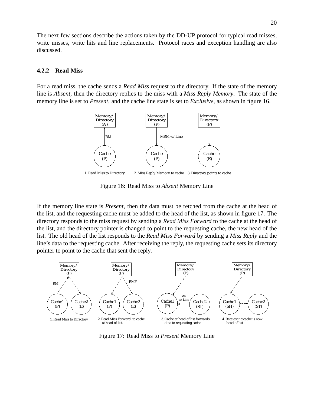The next few sections describe the actions taken by the DD-UP protocol for typical read misses, write misses, write hits and line replacements. Protocol races and exception handling are also discussed.

#### **4.2.2 Read Miss**

For a read miss, the cache sends a *Read Miss* request to the directory. If the state of the memory line is *Absent*, then the directory replies to the miss with a *Miss Reply Memory*. The state of the memory line is set to *Present*, and the cache line state is set to *Exclusive*, as shown in figure 16.



Figure 16: Read Miss to *Absent* Memory Line

If the memory line state is *Present*, then the data must be fetched from the cache at the head of the list, and the requesting cache must be added to the head of the list, as shown in figure 17. The directory responds to the miss request by sending a *Read Miss Forward* to the cache at the head of the list, and the directory pointer is changed to point to the requesting cache, the new head of the list. The old head of the list responds to the *Read Miss Forward* by sending a *Miss Reply* and the line's data to the requesting cache. After receiving the reply, the requesting cache sets its directory pointer to point to the cache that sent the reply.



Figure 17: Read Miss to *Present* Memory Line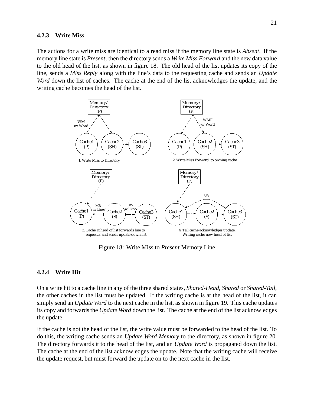#### **4.2.3 Write Miss**

The actions for a write miss are identical to a read miss if the memory line state is *Absent*. If the memory line state is *Present*, then the directory sends a *Write Miss Forward* and the new data value to the old head of the list, as shown in figure 18. The old head of the list updates its copy of the line, sends a *Miss Reply* along with the line's data to the requesting cache and sends an *Update Word* down the list of caches. The cache at the end of the list acknowledges the update, and the writing cache becomes the head of the list.



Figure 18: Write Miss to *Present* Memory Line

#### **4.2.4 Write Hit**

On a write hit to a cache line in any of the three shared states, *Shared-Head*, *Shared* or *Shared-Tail*, the other caches in the list must be updated. If the writing cache is at the head of the list, it can simply send an *Update Word* to the next cache in the list, as shown in figure 19. This cache updates its copy and forwards the *Update Word* down the list. The cache at the end of the list acknowledges the update.

If the cache is not the head of the list, the write value must be forwarded to the head of the list. To do this, the writing cache sends an *Update Word Memory* to the directory, as shown in figure 20. The directory forwards it to the head of the list, and an *Update Word* is propagated down the list. The cache at the end of the list acknowledges the update. Note that the writing cache will receive the update request, but must forward the update on to the next cache in the list.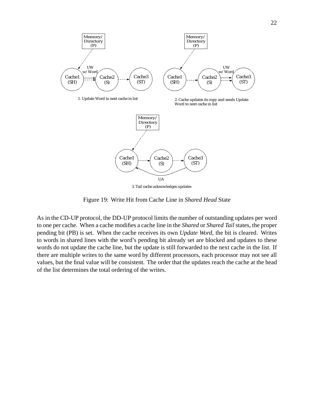

3. Tail cache acknowledges updates

Figure 19: Write Hit from Cache Line in *Shared Head* State

As in the CD-UP protocol, the DD-UP protocol limits the number of outstanding updates per word to one per cache. When a cache modifies a cache line in the *Shared* or *Shared Tail* states, the proper pending bit (PB) is set. When the cache receives its own *Update Word*, the bit is cleared. Writes to words in shared lines with the word's pending bit already set are blocked and updates to these words do not update the cache line, but the update is still forwarded to the next cache in the list. If there are multiple writes to the same word by different processors, each processor may not see all values, but the final value will be consistent. The order that the updates reach the cache at the head of the list determines the total ordering of the writes.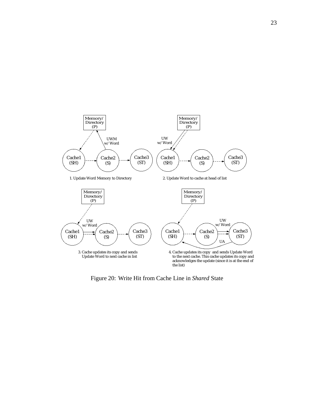

Figure 20: Write Hit from Cache Line in *Shared* State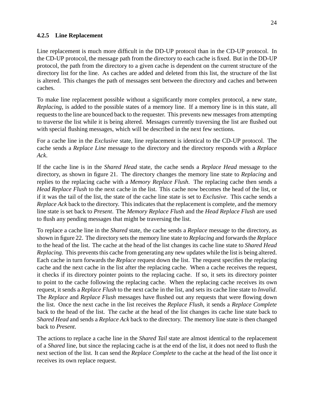### **4.2.5 Line Replacement**

Line replacement is much more difficult in the DD-UP protocol than in the CD-UP protocol. In the CD-UP protocol, the message path from the directory to each cache is fixed. But in the DD-UP protocol, the path from the directory to a given cache is dependent on the current structure of the directory list for the line. As caches are added and deleted from this list, the structure of the list is altered. This changes the path of messages sent between the directory and caches and between caches.

To make line replacement possible without a significantly more complex protocol, a new state, *Replacing*, is added to the possible states of a memory line. If a memory line is in this state, all requests to the line are bounced back to the requester. This prevents new messages from attempting to traverse the list while it is being altered. Messages currently traversing the list are flushed out with special flushing messages, which will be described in the next few sections.

For a cache line in the *Exclusive* state, line replacement is identical to the CD-UP protocol. The cache sends a *Replace Line* message to the directory and the directory responds with a *Replace Ack*.

If the cache line is in the *Shared Head* state, the cache sends a *Replace Head* message to the directory, as shown in figure 21. The directory changes the memory line state to *Replacing* and replies to the replacing cache with a *Memory Replace Flush*. The replacing cache then sends a *Head Replace Flush* to the next cache in the list. This cache now becomes the head of the list, or if it was the tail of the list, the state of the cache line state is set to *Exclusive*. This cache sends a *Replace Ack* back to the directory. This indicates that the replacement is complete, and the memory line state is set back to *Present*. The *Memory Replace Flush* and the *Head Replace Flush* are used to flush any pending messages that might be traversing the list.

To replace a cache line in the *Shared* state, the cache sends a *Replace* message to the directory, as shown in figure 22. The directory sets the memory line state to *Replacing* and forwards the *Replace* to the head of the list. The cache at the head of the list changes its cache line state to *Shared Head Replacing*. This prevents this cache from generating any new updates while the list is being altered. Each cache in turn forwards the *Replace* request down the list. The request specifies the replacing cache and the next cache in the list after the replacing cache. When a cache receives the request, it checks if its directory pointer points to the replacing cache. If so, it sets its directory pointer to point to the cache following the replacing cache. When the replacing cache receives its own request, it sends a *Replace Flush* to the next cache in the list, and sets its cache line state to *Invalid*. The *Replace* and *Replace Flush* messages have flushed out any requests that were flowing down the list. Once the next cache in the list receives the *Replace Flush*, it sends a *Replace Complete* back to the head of the list. The cache at the head of the list changes its cache line state back to *Shared Head* and sends a *Replace Ack* back to the directory. The memory line state is then changed back to *Present*.

The actions to replace a cache line in the *Shared Tail* state are almost identical to the replacement of a *Shared* line, but since the replacing cache is at the end of the list, it does not need to flush the next section of the list. It can send the *Replace Complete* to the cache at the head of the list once it receives its own replace request.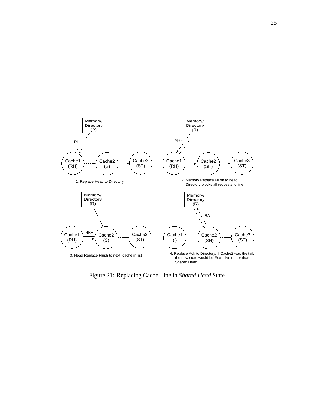

Figure 21: Replacing Cache Line in *Shared Head* State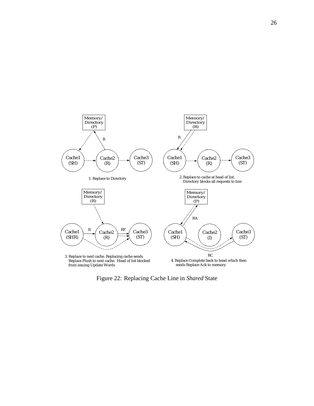

Figure 22: Replacing Cache Line in *Shared* State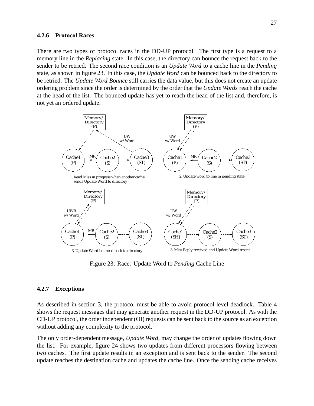#### **4.2.6 Protocol Races**

There are two types of protocol races in the DD-UP protocol. The first type is a request to a memory line in the *Replacing* state. In this case, the directory can bounce the request back to the sender to be retried. The second race condition is an *Update Word* to a cache line in the *Pending* state, as shown in figure 23. In this case, the *Update Word* can be bounced back to the directory to be retried. The *Update Word Bounce* still carries the data value, but this does not create an update ordering problem since the order is determined by the order that the *Update Words* reach the cache at the head of the list. The bounced update has yet to reach the head of the list and, therefore, is not yet an ordered update.



Figure 23: Race: Update Word to *Pending* Cache Line

#### **4.2.7 Exceptions**

As described in section 3, the protocol must be able to avoid protocol level deadlock. Table 4 shows the request messages that may generate another request in the DD-UP protocol. As with the CD-UP protocol, the order independent (OI) requests can be sent back to the source as an exception without adding any complexity to the protocol.

The only order-dependent message, *Update Word*, may change the order of updates flowing down the list. For example, figure 24 shows two updates from different processors flowing between two caches. The first update results in an exception and is sent back to the sender. The second update reaches the destination cache and updates the cache line. Once the sending cache receives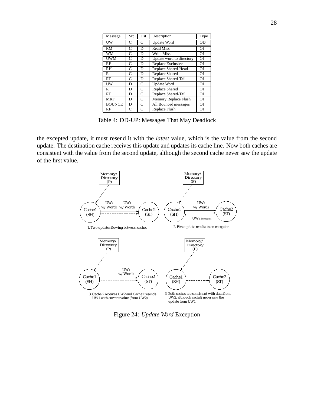| Message       | Src          | Dst           | Description              | Type      |
|---------------|--------------|---------------|--------------------------|-----------|
| UW            | C            | C             | <b>Update Word</b>       | <b>OD</b> |
| <b>RM</b>     | $\mathsf{C}$ | D             | <b>Read Miss</b>         | <b>OI</b> |
| WM            | C            | D             | Write Miss               | <b>OI</b> |
| <b>UWM</b>    | C            | D             | Update word to directory | <b>OI</b> |
| RE            | C            | D             | Replace Exclusive        | <b>OI</b> |
| RH            | C            | D             | Replace Shared-Head      | <b>OI</b> |
| R             | C            | D             | <b>Replace Shared</b>    | <b>OI</b> |
| RT            | C            | D             | Replace Shared-Tail      | <b>OI</b> |
| UW            | D            | C             | Update Word              | <b>OI</b> |
| R             | D            | $\mathcal{C}$ | <b>Replace Shared</b>    | <b>OI</b> |
| RT            | D            | C             | Replace Shared-Tail      | <b>OI</b> |
| <b>MRF</b>    | D            | C             | Memory Replace Flush     | <b>OI</b> |
| <b>BOUNCE</b> | D            | C             | All Bounced messages     | <b>OI</b> |
| RF            | C            | C             | Replace Flush            | ΟI        |

Table 4: DD-UP: Messages That May Deadlock

the excepted update, it must resend it with the *latest* value, which is the value from the second update. The destination cache receives this update and updates its cache line. Now both caches are consistent with the value from the second update, although the second cache never saw the update of the first value.



Figure 24: *Update Word* Exception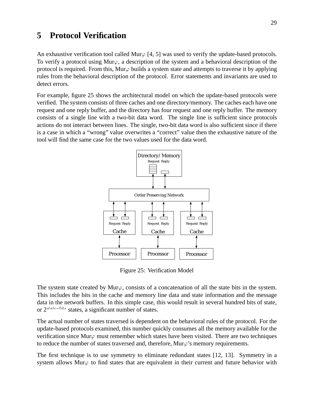## **5 Protocol Verification**

An exhaustive verification tool called Mur $\varphi$  [4, 5] was used to verify the update-based protocols. To verify a protocol using Mur $\varphi$ , a description of the system and a behavioral description of the protocol is required. From this, Mur $\varphi$  builds a system state and attempts to traverse it by applying rules from the behavioral description of the protocol. Error statements and invariants are used to detect errors.

For example, figure 25 shows the architectural model on which the update-based protocols were verified. The system consists of three caches and one directory/memory. The caches each have one request and one reply buffer, and the directory has four request and one reply buffer. The memory consists of a single line with a two-bit data word. The single line is sufficient since protocols actions do not interact between lines. The single, two-bit data word is also sufficient since if there is a case in which a "wrong" value overwrites a "correct" value then the exhaustive nature of the tool will find the same case for the two values used for the data word.



Figure 25: Verification Model

The system state created by Mur $\varphi$ , consists of a concatenation of all the state bits in the system. This includes the bits in the cache and memory line data and state information and the message data in the network buffers. In this simple case, this would result in several hundred bits of state, or  $2^{state-bits}$  states, a significant number of states.

The actual number of states traversed is dependent on the behavioral rules of the protocol. For the update-based protocols examined, this number quickly consumes all the memory available for the verification since Mur $\varphi$  must remember which states have been visited. There are two techniques to reduce the number of states traversed and, therefore,  $Mur\varphi$ 's memory requirements.

The first technique is to use symmetry to eliminate redundant states [12, 13]. Symmetry in a system allows Mur $\varphi$  to find states that are equivalent in their current and future behavior with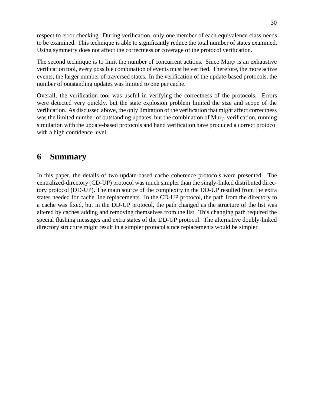respect to error checking. During verification, only one member of each equivalence class needs to be examined. This technique is able to significantly reduce the total number of states examined. Using symmetry does not affect the correctness or coverage of the protocol verification.

The second technique is to limit the number of concurrent actions. Since Mur $\varphi$  is an exhaustive verification tool, every possible combination of events must be verified. Therefore, the more active events, the larger number of traversed states. In the verification of the update-based protocols, the number of outstanding updates was limited to one per cache.

Overall, the verification tool was useful in verifying the correctness of the protocols. Errors were detected very quickly, but the state explosion problem limited the size and scope of the verification. As discussed above, the only limitation of the verification that might affect correctness was the limited number of outstanding updates, but the combination of Mur $\varphi$  verification, running simulation with the update-based protocols and hand verification have produced a correct protocol with a high confidence level.

## **6 Summary**

In this paper, the details of two update-based cache coherence protocols were presented. The centralized-directory (CD-UP) protocol was much simpler than the singly-linked distributed directory protocol (DD-UP). The main source of the complexity in the DD-UP resulted from the extra states needed for cache line replacements. In the CD-UP protocol, the path from the directory to a cache was fixed, but in the DD-UP protocol, the path changed as the structure of the list was altered by caches adding and removing themselves from the list. This changing path required the special flushing messages and extra states of the DD-UP protocol. The alternative doubly-linked directory structure might result in a simpler protocol since replacements would be simpler.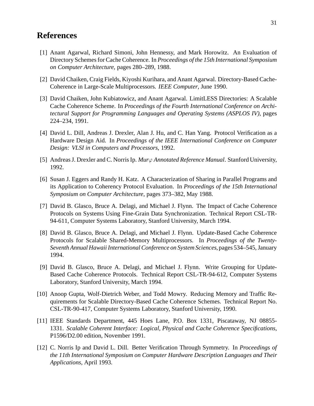## **References**

- [1] Anant Agarwal, Richard Simoni, John Hennessy, and Mark Horowitz. An Evaluation of Directory Schemes for Cache Coherence. In *Proceedings of the 15th International Symposium on Computer Architecture*, pages 280–289, 1988.
- [2] David Chaiken, Craig Fields, Kiyoshi Kurihara, and Anant Agarwal. Directory-Based Cache-Coherence in Large-Scale Multiprocessors. *IEEE Computer*, June 1990.
- [3] David Chaiken, John Kubiatowicz, and Anant Agarwal. LimitLESS Directories: A Scalable Cache Coherence Scheme. In *Proceedings of the Fourth International Conference on Architectural Support for Programming Languages and Operating Systems (ASPLOS IV)*, pages 224–234, 1991.
- [4] David L. Dill, Andreas J. Drexler, Alan J. Hu, and C. Han Yang. Protocol Verification as a Hardware Design Aid. In *Proceedings of the IEEE International Conference on Computer Design: VLSI in Computers and Processors*, 1992.
- [5] Andreas J. Drexler and C. Norris Ip.  $Mur\varphi$  *Annotated Reference Manual*. Stanford University, 1992.
- [6] Susan J. Eggers and Randy H. Katz. A Characterization of Sharing in Parallel Programs and its Application to Coherency Protocol Evaluation. In *Proceedings of the 15th International Symposium on Computer Architecture*, pages 373–382, May 1988.
- [7] David B. Glasco, Bruce A. Delagi, and Michael J. Flynn. The Impact of Cache Coherence Protocols on Systems Using Fine-Grain Data Synchronization. Technical Report CSL-TR-94-611, Computer Systems Laboratory, Stanford University, March 1994.
- [8] David B. Glasco, Bruce A. Delagi, and Michael J. Flynn. Update-Based Cache Coherence Protocols for Scalable Shared-Memory Multiprocessors. In *Proceedings of the Twenty-Seventh Annual Hawaii International Conference on System Sciences*, pages 534–545, January 1994.
- [9] David B. Glasco, Bruce A. Delagi, and Michael J. Flynn. Write Grouping for Update-Based Cache Coherence Protocols. Technical Report CSL-TR-94-612, Computer Systems Laboratory, Stanford University, March 1994.
- [10] Anoop Gupta, Wolf-Dietrich Weber, and Todd Mowry. Reducing Memory and Traffic Requirements for Scalable Directory-Based Cache Coherence Schemes. Technical Report No. CSL-TR-90-417, Computer Systems Laboratory, Stanford University, 1990.
- [11] IEEE Standards Department, 445 Hoes Lane, P.O. Box 1331, Piscataway, NJ 08855- 1331. *Scalable Coherent Interface: Logical, Physical and Cache Coherence Specifications*, P1596/D2.00 edition, November 1991.
- [12] C. Norris Ip and David L. Dill. Better Verification Through Symmetry. In *Proceedings of the 11th International Symposium on Computer Hardware Description Languages and Their Applications*, April 1993.